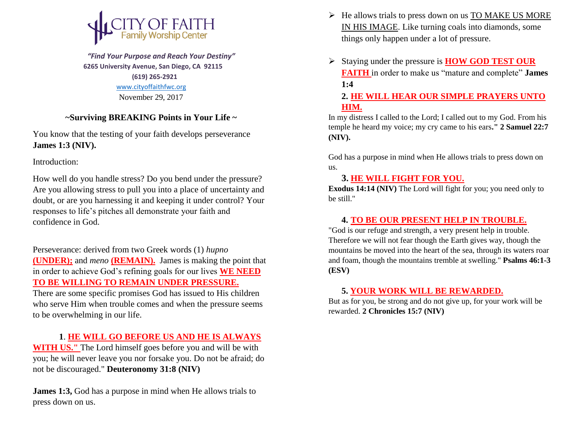

 *"Find Your Purpose and Reach Your Destiny"*  **6265 University Avenue, San Diego, CA 92115 (619) 265-2921** [www.cityoffaithfwc.org](http://www.cityoffaithfwc.org/) November 29, 2017

#### **~Surviving BREAKING Points in Your Life ~**

You know that the testing of your faith develops perseverance **James 1:3 (NIV).**

Introduction:

How well do you handle stress? Do you bend under the pressure? Are you allowing stress to pull you into a place of uncertainty and doubt, or are you harnessing it and keeping it under control? Your responses to life's pitches all demonstrate your faith and confidence in God.

Perseverance: derived from two Greek words (1) *hupno* **(UNDER);** and *meno* **(REMAIN).** James is making the point that in order to achieve God's refining goals for our lives **WE NEED TO BE WILLING TO REMAIN UNDER PRESSURE.**

There are some specific promises God has issued to His children who serve Him when trouble comes and when the pressure seems to be overwhelming in our life.

### **1**. **HE WILL GO BEFORE US AND HE IS ALWAYS**

**WITH US."** The Lord himself goes before you and will be with you; he will never leave you nor forsake you. Do not be afraid; do not be discouraged." **Deuteronomy 31:8 (NIV)**

**James 1:3,** God has a purpose in mind when He allows trials to press down on us.

- $\triangleright$  He allows trials to press down on us TO MAKE US MORE IN HIS IMAGE. Like turning coals into diamonds, some things only happen under a lot of pressure.
- Staying under the pressure is **HOW GOD TEST OUR FAITH** in order to make us "mature and complete" **James 1:4**

**2. HE WILL HEAR OUR SIMPLE PRAYERS UNTO HIM.**

In my distress I called to the Lord; I called out to my God. From his temple he heard my voice; my cry came to his ears**." 2 Samuel 22:7 (NIV).**

God has a purpose in mind when He allows trials to press down on us.

# **3. HE WILL FIGHT FOR YOU.**

**Exodus 14:14 (NIV)** The Lord will fight for you; you need only to be still."

# **4. TO BE OUR PRESENT HELP IN TROUBLE.**

"God is our refuge and strength, a very present help in trouble. Therefore we will not fear though the Earth gives way, though the mountains be moved into the heart of the sea, through its waters roar and foam, though the mountains tremble at swelling." **Psalms 46:1-3 (ESV)**

#### **5. YOUR WORK WILL BE REWARDED.**

But as for you, be strong and do not give up, for your work will be rewarded. **2 Chronicles 15:7 (NIV)**